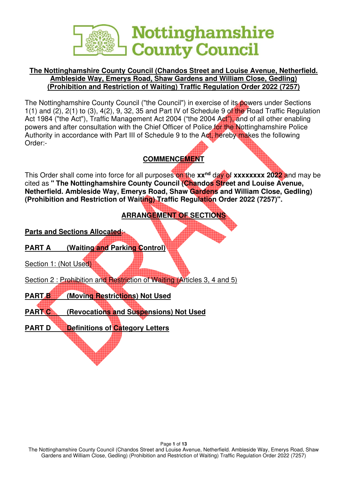

### **The Nottinghamshire County Council (Chandos Street and Louise Avenue, Netherfield. Ambleside Way, Emerys Road, Shaw Gardens and William Close, Gedling) (Prohibition and Restriction of Waiting) Traffic Regulation Order 2022 (7257)**

The Nottinghamshire County Council ("the Council") in exercise of its powers under Sections  $1(1)$  and  $(2)$ ,  $2(1)$  to  $(3)$ ,  $4(2)$ ,  $9$ ,  $32$ ,  $35$  and Part IV of Schedule 9 of the Road Traffic Regulation Act 1984 ("the Act"), Traffic Management Act 2004 ("the 2004 Act"), and of all other enabling powers and after consultation with the Chief Officer of Police for the Nottinghamshire Police Authority in accordance with Part III of Schedule 9 to the Act, hereby makes the following Order:-

## **COMMENCEMENT**

This Order shall come into force for all purposes on the **xxnd** day of **xxxxxxxx 2022** and may be cited as **" The Nottinghamshire County Council (Chandos Street and Louise Avenue, Netherfield. Ambleside Way, Emerys Road, Shaw Gardens and William Close, Gedling) (Prohibition and Restriction of Waiting) Traffic Regulation Order 2022 (7257)".** 

# **ARRANGEMENT OF SECTIONS**

**Parts and Sections Allocated:** 

- **PART A** (Waiting and Parking Control)
- Section 1: (Not Used)
- Section 2 : Prohibition and Restriction of Waiting (Articles 3, 4 and 5)
- **PART B** (Moving Restrictions) Not Used
- **PART C (Revocations and Suspensions) Not Used**
- **PART D Definitions of Category Letters**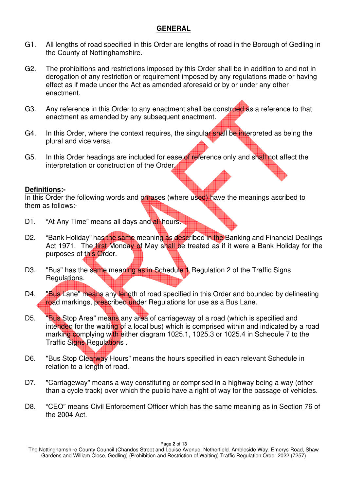#### **GENERAL**

- G1. All lengths of road specified in this Order are lengths of road in the Borough of Gedling in the County of Nottinghamshire.
- G2. The prohibitions and restrictions imposed by this Order shall be in addition to and not in derogation of any restriction or requirement imposed by any regulations made or having effect as if made under the Act as amended aforesaid or by or under any other enactment.
- G3. Any reference in this Order to any enactment shall be construed as a reference to that enactment as amended by any subsequent enactment.
- G4. In this Order, where the context requires, the singular shall be interpreted as being the plural and vice versa.
- G5. In this Order headings are included for ease of reference only and shall not affect the interpretation or construction of the Order.

#### **Definitions:-**

In this Order the following words and phrases (where used) have the meanings ascribed to them as follows:-

- D1. "At Any Time" means all days and all hours.
- D2. "Bank Holiday" has the same meaning as described in the Banking and Financial Dealings Act 1971. The first Monday of May shall be treated as if it were a Bank Holiday for the purposes of this Order.
- D3. "Bus" has the same meaning as in Schedule 1 Regulation 2 of the Traffic Signs Regulations.
- D4. **"Bus Lane" means any length of road specified in this Order and bounded by delineating** road markings, prescribed under Regulations for use as a Bus Lane.
- D5. "Bus Stop Area" means any area of carriageway of a road (which is specified and intended for the waiting of a local bus) which is comprised within and indicated by a road marking complying with either diagram 1025.1, 1025.3 or 1025.4 in Schedule 7 to the Traffic Signs Regulations.
- D6. "Bus Stop Clearway Hours" means the hours specified in each relevant Schedule in relation to a length of road.
- D7. "Carriageway" means a way constituting or comprised in a highway being a way (other than a cycle track) over which the public have a right of way for the passage of vehicles.
- D8. "CEO" means Civil Enforcement Officer which has the same meaning as in Section 76 of the 2004 Act.

Page **2** of **13** 

The Nottinghamshire County Council (Chandos Street and Louise Avenue, Netherfield. Ambleside Way, Emerys Road, Shaw Gardens and William Close, Gedling) (Prohibition and Restriction of Waiting) Traffic Regulation Order 2022 (7257)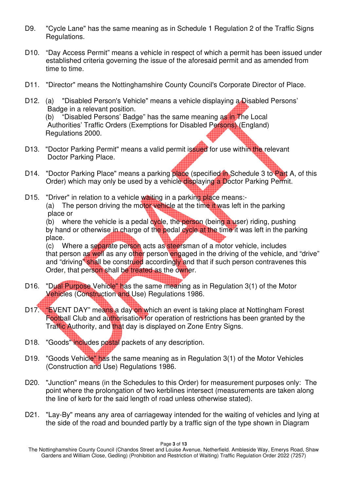- D9. "Cycle Lane" has the same meaning as in Schedule 1 Regulation 2 of the Traffic Signs Regulations.
- D10. "Day Access Permit" means a vehicle in respect of which a permit has been issued under established criteria governing the issue of the aforesaid permit and as amended from time to time.
- D11. "Director" means the Nottinghamshire County Council's Corporate Director of Place.
- D12. (a) "Disabled Person's Vehicle" means a vehicle displaying a Disabled Persons' Badge in a relevant position. (b) "Disabled Persons' Badge" has the same meaning as in The Local Authorities' Traffic Orders (Exemptions for Disabled Persons) (England) Regulations 2000.
- D13. "Doctor Parking Permit" means a valid permit issued for use within the relevant Doctor Parking Place.
- D14. "Doctor Parking Place" means a parking place (specified in Schedule 3 to Part A, of this Order) which may only be used by a vehicle displaying a Doctor Parking Permit.
- D15. "Driver" in relation to a vehicle waiting in a parking place means:-(a) The person driving the motor vehicle at the time it was left in the parking place or

(b) where the vehicle is a pedal cycle, the person (being a user) riding, pushing by hand or otherwise in charge of the pedal cycle at the time it was left in the parking place.

(c) Where a separate person acts as steersman of a motor vehicle, includes that person as well as any other person engaged in the driving of the vehicle, and "drive" and "driving" shall be construed accordingly and that if such person contravenes this Order, that person shall be treated as the owner.

- D16. "Dual Purpose Vehicle" has the same meaning as in Regulation 3(1) of the Motor Vehicles (Construction and Use) Regulations 1986.
- D17. "EVENT DAY" means a day on which an event is taking place at Nottingham Forest Football Club and authorisation for operation of restrictions has been granted by the Traffic Authority, and that day is displayed on Zone Entry Signs.
- D18. "Goods" includes postal packets of any description.
- D19. "Goods Vehicle" has the same meaning as in Regulation 3(1) of the Motor Vehicles (Construction and Use) Regulations 1986.
- D20. "Junction" means (in the Schedules to this Order) for measurement purposes only: The point where the prolongation of two kerblines intersect (measurements are taken along the line of kerb for the said length of road unless otherwise stated).
- D21. "Lay-By" means any area of carriageway intended for the waiting of vehicles and lying at the side of the road and bounded partly by a traffic sign of the type shown in Diagram

Page **3** of **13** 

The Nottinghamshire County Council (Chandos Street and Louise Avenue, Netherfield. Ambleside Way, Emerys Road, Shaw Gardens and William Close, Gedling) (Prohibition and Restriction of Waiting) Traffic Regulation Order 2022 (7257)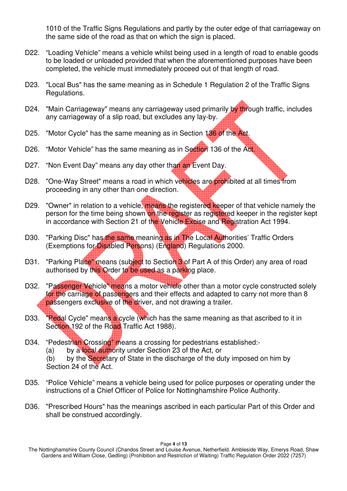1010 of the Traffic Signs Regulations and partly by the outer edge of that carriageway on the same side of the road as that on which the sign is placed.

- D22. "Loading Vehicle" means a vehicle whilst being used in a length of road to enable goods to be loaded or unloaded provided that when the aforementioned purposes have been completed, the vehicle must immediately proceed out of that length of road.
- D23. "Local Bus" has the same meaning as in Schedule 1 Regulation 2 of the Traffic Signs Regulations.
- D24. "Main Carriageway" means any carriageway used primarily by through traffic, includes any carriageway of a slip road, but excludes any lay-by.
- D25. "Motor Cycle" has the same meaning as in Section 136 of the Act.
- D26. "Motor Vehicle" has the same meaning as in Section 136 of the Act.
- D27. "Non Event Day" means any day other than an Event Day.
- D28. "One-Way Street" means a road in which vehicles are prohibited at all times from proceeding in any other than one direction.
- D29. "Owner" in relation to a vehicle, means the registered keeper of that vehicle namely the person for the time being shown on the register as registered keeper in the register kept in accordance with Section 21 of the Vehicle Excise and Registration Act 1994.
- D30. "Parking Disc" has the same meaning as in The Local Authorities' Traffic Orders (Exemptions for Disabled Persons) (England) Regulations 2000.
- D31. "Parking Place" means (subject to Section 3 of Part A of this Order) any area of road authorised by this Order to be used as a parking place.
- D32. "Passenger Vehicle" means a motor vehicle other than a motor cycle constructed solely for the carriage of passengers and their effects and adapted to carry not more than 8 passengers exclusive of the driver, and not drawing a trailer.
- D33. "Pedal Cycle" means a cycle (which has the same meaning as that ascribed to it in Section 192 of the Road Traffic Act 1988).
- D34. "Pedestrian Crossing" means a crossing for pedestrians established:-
	- (a) by a **local authority under Section 23 of the Act**, or

(b) by the Secretary of State in the discharge of the duty imposed on him by Section 24 of the Act.

- D35. "Police Vehicle" means a vehicle being used for police purposes or operating under the instructions of a Chief Officer of Police for Nottinghamshire Police Authority.
- D36. "Prescribed Hours" has the meanings ascribed in each particular Part of this Order and shall be construed accordingly.

Page **4** of **13** 

The Nottinghamshire County Council (Chandos Street and Louise Avenue, Netherfield. Ambleside Way, Emerys Road, Shaw Gardens and William Close, Gedling) (Prohibition and Restriction of Waiting) Traffic Regulation Order 2022 (7257)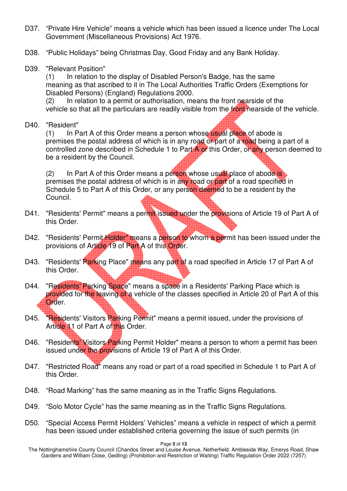- D37. "Private Hire Vehicle" means a vehicle which has been issued a licence under The Local Government (Miscellaneous Provisions) Act 1976.
- D38. "Public Holidays" being Christmas Day, Good Friday and any Bank Holiday.
- D39. "Relevant Position"

(1) In relation to the display of Disabled Person's Badge, has the same meaning as that ascribed to it in The Local Authorities Traffic Orders (Exemptions for Disabled Persons) (England) Regulations 2000.

(2) In relation to a permit or authorisation, means the front nearside of the vehicle so that all the particulars are readily visible from the front nearside of the vehicle.

D40. "Resident"

 $(1)$  In Part A of this Order means a person whose usual place of abode is premises the postal address of which is in any road or part of a road being a part of a controlled zone described in Schedule 1 to Part A or this Order, or any person deemed to be a resident by the Council.

(2) In Part A of this Order means a person whose usual place of abode is premises the postal address of which is in any road or part of a road specified in Schedule 5 to Part A of this Order, or any person deemed to be a resident by the Council.

- D41. "Residents' Permit" means a permit issued under the provisions of Article 19 of Part A of this Order.
- D42. "Residents' Permit Holder" means a person to whom a permit has been issued under the provisions of Article 19 of Part A of this Order.
- D43. "Residents' Parking Place" means any part of a road specified in Article 17 of Part A of this Order.
- D44. "Residents' Parking Space" means a space in a Residents' Parking Place which is provided for the leaving of a vehicle of the classes specified in Article 20 of Part A of this Order.
- D45. "Residents' Visitors Parking Permit" means a permit issued, under the provisions of Article 11 of Part A of this Order.
- D46. "Residents' Visitors Parking Permit Holder" means a person to whom a permit has been issued under the provisions of Article 19 of Part A of this Order.
- D47. "Restricted Road" means any road or part of a road specified in Schedule 1 to Part A of this Order.
- D48. "Road Marking" has the same meaning as in the Traffic Signs Regulations.
- D49. "Solo Motor Cycle" has the same meaning as in the Traffic Signs Regulations.
- D50. "Special Access Permit Holders' Vehicles" means a vehicle in respect of which a permit has been issued under established criteria governing the issue of such permits (in

Page **5** of **13** 

The Nottinghamshire County Council (Chandos Street and Louise Avenue, Netherfield. Ambleside Way, Emerys Road, Shaw Gardens and William Close, Gedling) (Prohibition and Restriction of Waiting) Traffic Regulation Order 2022 (7257)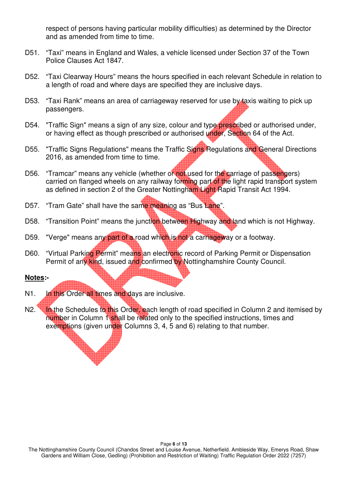respect of persons having particular mobility difficulties) as determined by the Director and as amended from time to time.

- D51. "Taxi" means in England and Wales, a vehicle licensed under Section 37 of the Town Police Clauses Act 1847.
- D52. "Taxi Clearway Hours" means the hours specified in each relevant Schedule in relation to a length of road and where days are specified they are inclusive days.
- D53. "Taxi Rank" means an area of carriageway reserved for use by taxis waiting to pick up passengers.
- D54. "Traffic Sign" means a sign of any size, colour and type prescribed or authorised under, or having effect as though prescribed or authorised under, Section 64 of the Act.
- D55. "Traffic Signs Regulations" means the Traffic Signs Regulations and General Directions 2016, as amended from time to time.
- D56. "Tramcar" means any vehicle (whether or not used for the carriage of passengers) carried on flanged wheels on any railway forming part of the light rapid transport system as defined in section 2 of the Greater Nottingham Light Rapid Transit Act 1994.
- D57. "Tram Gate" shall have the same meaning as "Bus Lane".
- D58. "Transition Point" means the junction between Highway and land which is not Highway.
- D59. "Verge" means any part of a road which is not a carriageway or a footway.
- D60. "Virtual Parking Permit" means an electronic record of Parking Permit or Dispensation Permit of any kind, issued and confirmed by Nottinghamshire County Council.

#### **Notes:-**

- N1. In this Order all times and days are inclusive.
- N2. In the Schedules to this Order, each length of road specified in Column 2 and itemised by number in Column 1 shall be related only to the specified instructions, times and exemptions (given under Columns 3, 4, 5 and 6) relating to that number.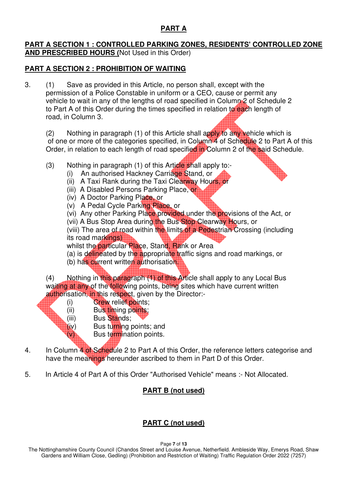### **PART A**

#### **PART A SECTION 1 : CONTROLLED PARKING ZONES, RESIDENTS' CONTROLLED ZONE AND PRESCRIBED HOURS (**Not Used in this Order)

### **PART A SECTION 2 : PROHIBITION OF WAITING**

3. (1) Save as provided in this Article, no person shall, except with the permission of a Police Constable in uniform or a CEO, cause or permit any vehicle to wait in any of the lengths of road specified in Column 2 of Schedule 2 to Part A of this Order during the times specified in relation to each length of road, in Column 3.

(2) Nothing in paragraph (1) of this Article shall apply to any vehicle which is of one or more of the categories specified, in Column 4 of Schedule 2 to Part A of this Order, in relation to each length of road specified in Column 2 of the said Schedule.

- $(3)$  Nothing in paragraph  $(1)$  of this Article shall apply to:-
	- (i) An authorised Hackney Carriage Stand, or
	- (ii) A Taxi Rank during the Taxi Clearway Hours, or
	- (iii) A Disabled Persons Parking Place, or
	- (iv) A Doctor Parking Place, or
	- (v) A Pedal Cycle Parking Place, or
	- (vi) Any other Parking Place provided under the provisions of the Act, or
	- (vii) A Bus Stop Area during the Bus Stop Clearway Hours, or

(viii) The area of road within the limits of a Pedestrian Crossing (including its road markings)

- whilst the particular Place, Stand, Rank or Area
- (a) is delineated by the appropriate traffic signs and road markings, or
- (b) has current written authorisation.
- (4) Nothing in this paragraph (1) of this Article shall apply to any Local Bus waiting at any of the following points, being sites which have current written authorisation, in this respect, given by the Director:-
	- (i) Crew relief points;
	- (ii) Bus timing points;
	- (iii) Bus Stands;
	- (iv) Bus turning points; and
	- $(v)$  Bus termination points.
- 4. In Column 4 of Schedule 2 to Part A of this Order, the reference letters categorise and have the meanings hereunder ascribed to them in Part D of this Order.
- 5. In Article 4 of Part A of this Order "Authorised Vehicle" means :- Not Allocated.

## **PART B (not used)**

## **PART C (not used)**

Page **7** of **13** 

The Nottinghamshire County Council (Chandos Street and Louise Avenue, Netherfield. Ambleside Way, Emerys Road, Shaw Gardens and William Close, Gedling) (Prohibition and Restriction of Waiting) Traffic Regulation Order 2022 (7257)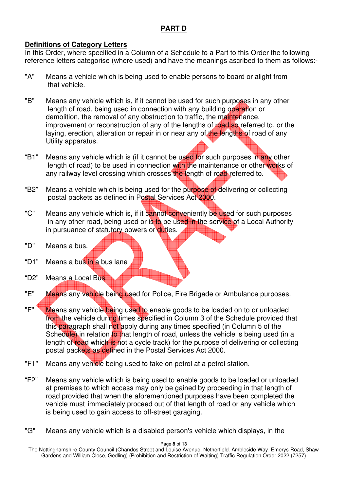### **PART D**

#### **Definitions of Category Letters**

In this Order, where specified in a Column of a Schedule to a Part to this Order the following reference letters categorise (where used) and have the meanings ascribed to them as follows:-

- "A" Means a vehicle which is being used to enable persons to board or alight from that vehicle.
- "B" Means any vehicle which is, if it cannot be used for such purposes in any other length of road, being used in connection with any building operation or demolition, the removal of any obstruction to traffic, the maintenance, improvement or reconstruction of any of the lengths of road so referred to, or the laying, erection, alteration or repair in or near any of the lengths of road of any Utility apparatus.
- "B1" Means any vehicle which is (if it cannot be used for such purposes in any other length of road) to be used in connection with the maintenance or other works of any railway level crossing which crosses the length of road referred to.
- "B2" Means a vehicle which is being used for the purpose of delivering or collecting postal packets as defined in Postal Services Act 2000.
- "C" Means any vehicle which is, if it cannot conveniently be used for such purposes in any other road, being used or is to be used in the service of a Local Authority in pursuance of statutory powers or duties.
- "D" Means a bus.
- "D1" Means a bus in a bus lane
- "D2" Means a Local Bus.
- "E" Means any vehicle being used for Police, Fire Brigade or Ambulance purposes.
- "F" Weans any vehicle being used to enable goods to be loaded on to or unloaded from the vehicle during times specified in Column 3 of the Schedule provided that this paragraph shall not apply during any times specified (in Column 5 of the Schedule) in relation to that length of road, unless the vehicle is being used (in a length of road which is not a cycle track) for the purpose of delivering or collecting postal packets as defined in the Postal Services Act 2000.
- "F1" Means any vehicle being used to take on petrol at a petrol station.
- "F2" Means any vehicle which is being used to enable goods to be loaded or unloaded at premises to which access may only be gained by proceeding in that length of road provided that when the aforementioned purposes have been completed the vehicle must immediately proceed out of that length of road or any vehicle which is being used to gain access to off-street garaging.
- "G" Means any vehicle which is a disabled person's vehicle which displays, in the

The Nottinghamshire County Council (Chandos Street and Louise Avenue, Netherfield. Ambleside Way, Emerys Road, Shaw Gardens and William Close, Gedling) (Prohibition and Restriction of Waiting) Traffic Regulation Order 2022 (7257)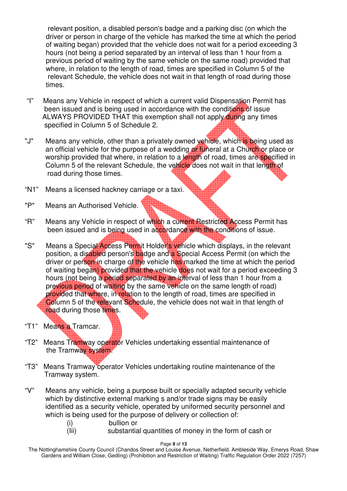relevant position, a disabled person's badge and a parking disc (on which the driver or person in charge of the vehicle has marked the time at which the period of waiting began) provided that the vehicle does not wait for a period exceeding 3 hours (not being a period separated by an interval of less than 1 hour from a previous period of waiting by the same vehicle on the same road) provided that where, in relation to the length of road, times are specified in Column 5 of the relevant Schedule, the vehicle does not wait in that length of road during those times.

- "I" Means any Vehicle in respect of which a current valid Dispensation Permit has been issued and is being used in accordance with the conditions of issue ALWAYS PROVIDED THAT this exemption shall not apply during any times specified in Column 5 of Schedule 2.
- "J" Means any vehicle, other than a privately owned vehicle, which is being used as an official vehicle for the purpose of a wedding or funeral at a Church or place or worship provided that where, in relation to a length of road, times are specified in Column 5 of the relevant Schedule, the vehicle does not wait in that length of road during those times.
- "N1" Means a licensed hackney carriage or a taxi.
- "P" Means an Authorised Vehicle.
- "R" Means any Vehicle in respect of which a current Restricted Access Permit has been issued and is being used in accordance with the conditions of issue.
- "S" Means a Special Access Permit Holder's vehicle which displays, in the relevant position, a disabled person's badge and a Special Access Permit (on which the driver or person in charge of the vehicle has marked the time at which the period of waiting began) provided that the vehicle does not wait for a period exceeding 3 hours (not being a period separated by an interval of less than 1 hour from a previous period of waiting by the same vehicle on the same length of road) provided that where, in relation to the length of road, times are specified in Column 5 of the relevant Schedule, the vehicle does not wait in that length of road during those times.
- "T1" Means a Tramcar.
- "T2" Means Tramway operator Vehicles undertaking essential maintenance of the Tramway system.
- "T3" Means Tramway operator Vehicles undertaking routine maintenance of the Tramway system.
- "V" Means any vehicle, being a purpose built or specially adapted security vehicle which by distinctive external marking s and/or trade signs may be easily identified as a security vehicle, operated by uniformed security personnel and which is being used for the purpose of delivery or collection of:
	- (i) bullion or
	- (Iii) substantial quantities of money in the form of cash or

Page **9** of **13** 

The Nottinghamshire County Council (Chandos Street and Louise Avenue, Netherfield. Ambleside Way, Emerys Road, Shaw Gardens and William Close, Gedling) (Prohibition and Restriction of Waiting) Traffic Regulation Order 2022 (7257)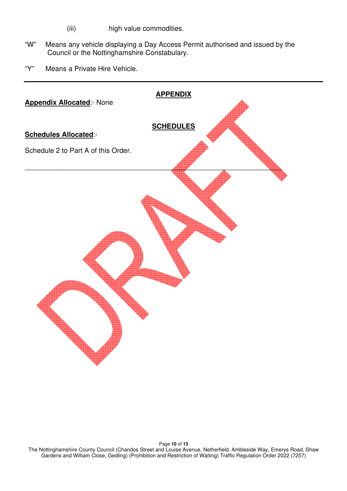- (iii) high value commodities.
- "W" Means any vehicle displaying a Day Access Permit authorised and issued by the Council or the Nottinghamshire Constabulary.
- "Y" Means a Private Hire Vehicle.



Page **10** of **13**  The Nottinghamshire County Council (Chandos Street and Louise Avenue, Netherfield. Ambleside Way, Emerys Road, Shaw Gardens and William Close, Gedling) (Prohibition and Restriction of Waiting) Traffic Regulation Order 2022 (7257)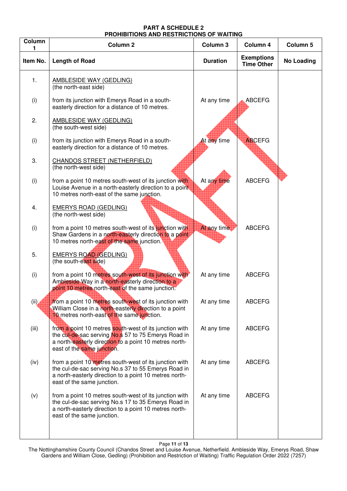#### **PART A SCHEDULE 2 PROHIBITIONS AND RESTRICTIONS OF WAITING**

| Column   | Column <sub>2</sub>                                                                                                                                                                                   | Column <sub>3</sub> | Column 4                               | Column 5          |
|----------|-------------------------------------------------------------------------------------------------------------------------------------------------------------------------------------------------------|---------------------|----------------------------------------|-------------------|
| Item No. | <b>Length of Road</b>                                                                                                                                                                                 | <b>Duration</b>     | <b>Exemptions</b><br><b>Time Other</b> | <b>No Loading</b> |
| 1.       | <b>AMBLESIDE WAY (GEDLING)</b><br>(the north-east side)                                                                                                                                               |                     |                                        |                   |
| (i)      | from its junction with Emerys Road in a south-<br>easterly direction for a distance of 10 metres.                                                                                                     | At any time         | <b>ABCEFG</b>                          |                   |
| 2.       | <b>AMBLESIDE WAY (GEDLING)</b><br>(the south-west side)                                                                                                                                               |                     |                                        |                   |
| (i)      | from its junction with Emerys Road in a south-<br>easterly direction for a distance of 10 metres.                                                                                                     | At any time         | <b>ABCEFG</b>                          |                   |
| 3.       | <b>CHANDOS STREET (NETHERFIELD)</b><br>(the north-west side)                                                                                                                                          |                     |                                        |                   |
| (i)      | from a point 10 metres south-west of its junction with<br>Louise Avenue in a north-easterly direction to a point<br>10 metres north-east of the same junction.                                        | At any time         | <b>ABCEFG</b>                          |                   |
| 4.       | <b>EMERYS ROAD (GEDLING)</b><br>(the north-west side)                                                                                                                                                 |                     |                                        |                   |
| (i)      | from a point 10 metres south-west of its junction with<br>Shaw Gardens in a north-easterly direction to a point<br>10 metres north-east of the same junction.                                         | At any time         | <b>ABCEFG</b>                          |                   |
| 5.       | <b>EMERYS ROAD (GEDLING)</b><br>(the south-east side)                                                                                                                                                 |                     |                                        |                   |
| (i)      | from a point 10 metres south-west of its junction with<br>Ambleside Way in a north-easterly direction to a<br>point 10 metres north-east of the same junction.                                        | At any time         | <b>ABCEFG</b>                          |                   |
| (i)      | from a point 10 metres south-west of its junction with<br>William Close in a north-easterly direction to a point<br>10 metres north-east of the same junction.                                        | At any time         | <b>ABCEFG</b>                          |                   |
| (iii)    | from a point 10 metres south-west of its junction with<br>the cul-de-sac serving No.s 57 to 75 Emerys Road in<br>a north-easterly direction to a point 10 metres north-<br>east of the same junction. | At any time         | <b>ABCEFG</b>                          |                   |
| (iv)     | from a point 10 metres south-west of its junction with<br>the cul-de-sac serving No.s 37 to 55 Emerys Road in<br>a north-easterly direction to a point 10 metres north-<br>east of the same junction. | At any time         | <b>ABCEFG</b>                          |                   |
| (v)      | from a point 10 metres south-west of its junction with<br>the cul-de-sac serving No.s 17 to 35 Emerys Road in<br>a north-easterly direction to a point 10 metres north-<br>east of the same junction. | At any time         | <b>ABCEFG</b>                          |                   |

Page **11** of **13** 

The Nottinghamshire County Council (Chandos Street and Louise Avenue, Netherfield. Ambleside Way, Emerys Road, Shaw Gardens and William Close, Gedling) (Prohibition and Restriction of Waiting) Traffic Regulation Order 2022 (7257)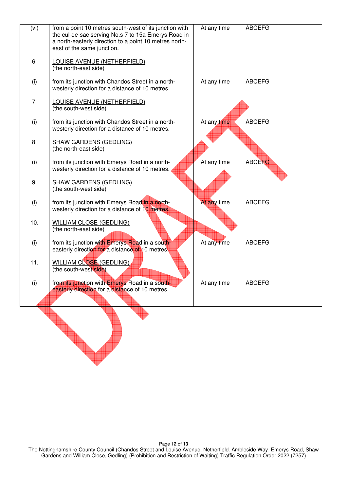| (vi) | from a point 10 metres south-west of its junction with<br>the cul-de-sac serving No.s 7 to 15a Emerys Road in | At any time | <b>ABCEFG</b> |  |
|------|---------------------------------------------------------------------------------------------------------------|-------------|---------------|--|
|      | a north-easterly direction to a point 10 metres north-<br>east of the same junction.                          |             |               |  |
| 6.   | <b>LOUISE AVENUE (NETHERFIELD)</b><br>(the north-east side)                                                   |             |               |  |
| (i)  | from its junction with Chandos Street in a north-<br>westerly direction for a distance of 10 metres.          | At any time | <b>ABCEFG</b> |  |
| 7.   | <b>LOUISE AVENUE (NETHERFIELD)</b><br>(the south-west side)                                                   |             |               |  |
| (i)  | from its junction with Chandos Street in a north-<br>westerly direction for a distance of 10 metres.          | At any time | <b>ABCEFG</b> |  |
| 8.   | <b>SHAW GARDENS (GEDLING)</b><br>(the north-east side)                                                        |             |               |  |
| (i)  | from its junction with Emerys Road in a north-<br>westerly direction for a distance of 10 metres.             | At any time | <b>ABCEFG</b> |  |
| 9.   | <b>SHAW GARDENS (GEDLING)</b><br>(the south-west side)                                                        |             |               |  |
| (i)  | from its junction with Emerys Road in a north-<br>westerly direction for a distance of 10 metres.             | At any time | <b>ABCEFG</b> |  |
| 10.  | <b>WILLIAM CLOSE (GEDLING)</b><br>(the north-east side)                                                       |             |               |  |
| (i)  | from its junction with Emerys Road in a south-<br>easterly direction for a distance of 10 metres.             | At any time | <b>ABCEFG</b> |  |
| 11.  | <b>WILLIAM CLOSE (GEDLING)</b><br>(the south-west side)                                                       |             |               |  |
| (i)  | from its junction with Emerys Road in a south-<br>easterly direction for a distance of 10 metres.             | At any time | <b>ABCEFG</b> |  |
|      |                                                                                                               |             |               |  |
|      |                                                                                                               |             |               |  |
|      |                                                                                                               |             |               |  |
|      |                                                                                                               |             |               |  |
|      |                                                                                                               |             |               |  |

Page **12** of **13**